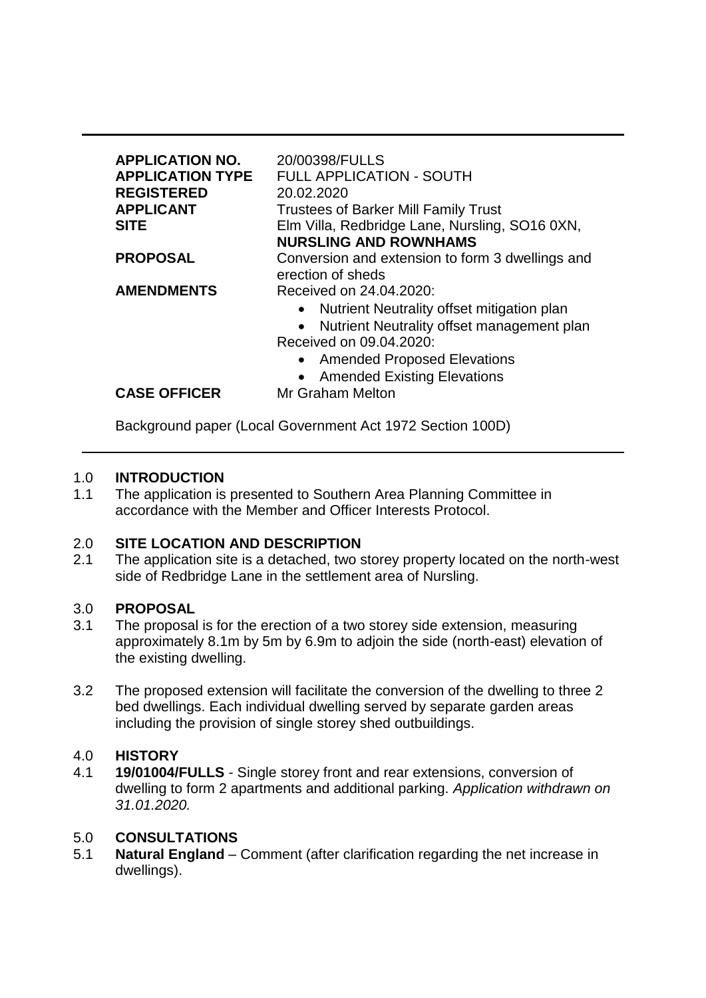| <b>APPLICATION NO.</b><br><b>APPLICATION TYPE</b><br><b>REGISTERED</b><br><b>APPLICANT</b><br><b>SITE</b> | 20/00398/FULLS<br><b>FULL APPLICATION - SOUTH</b><br>20.02.2020<br><b>Trustees of Barker Mill Family Trust</b><br>Elm Villa, Redbridge Lane, Nursling, SO16 0XN,<br><b>NURSLING AND ROWNHAMS</b>                     |
|-----------------------------------------------------------------------------------------------------------|----------------------------------------------------------------------------------------------------------------------------------------------------------------------------------------------------------------------|
| <b>PROPOSAL</b>                                                                                           | Conversion and extension to form 3 dwellings and<br>erection of sheds                                                                                                                                                |
| <b>AMENDMENTS</b>                                                                                         | Received on 24.04.2020:<br>• Nutrient Neutrality offset mitigation plan<br>• Nutrient Neutrality offset management plan<br>Received on 09.04.2020:<br>• Amended Proposed Elevations<br>• Amended Existing Elevations |
| <b>CASE OFFICER</b>                                                                                       | Mr Graham Melton                                                                                                                                                                                                     |

Background paper (Local Government Act 1972 Section 100D)

# 1.0 **INTRODUCTION**

1.1 The application is presented to Southern Area Planning Committee in accordance with the Member and Officer Interests Protocol.

# 2.0 **SITE LOCATION AND DESCRIPTION**

2.1 The application site is a detached, two storey property located on the north-west side of Redbridge Lane in the settlement area of Nursling.

# 3.0 **PROPOSAL**

- 3.1 The proposal is for the erection of a two storey side extension, measuring approximately 8.1m by 5m by 6.9m to adjoin the side (north-east) elevation of the existing dwelling.
- 3.2 The proposed extension will facilitate the conversion of the dwelling to three 2 bed dwellings. Each individual dwelling served by separate garden areas including the provision of single storey shed outbuildings.

# 4.0 **HISTORY**

4.1 **19/01004/FULLS** - Single storey front and rear extensions, conversion of dwelling to form 2 apartments and additional parking. *Application withdrawn on 31.01.2020.*

# 5.0 **CONSULTATIONS**

5.1 **Natural England** – Comment (after clarification regarding the net increase in dwellings).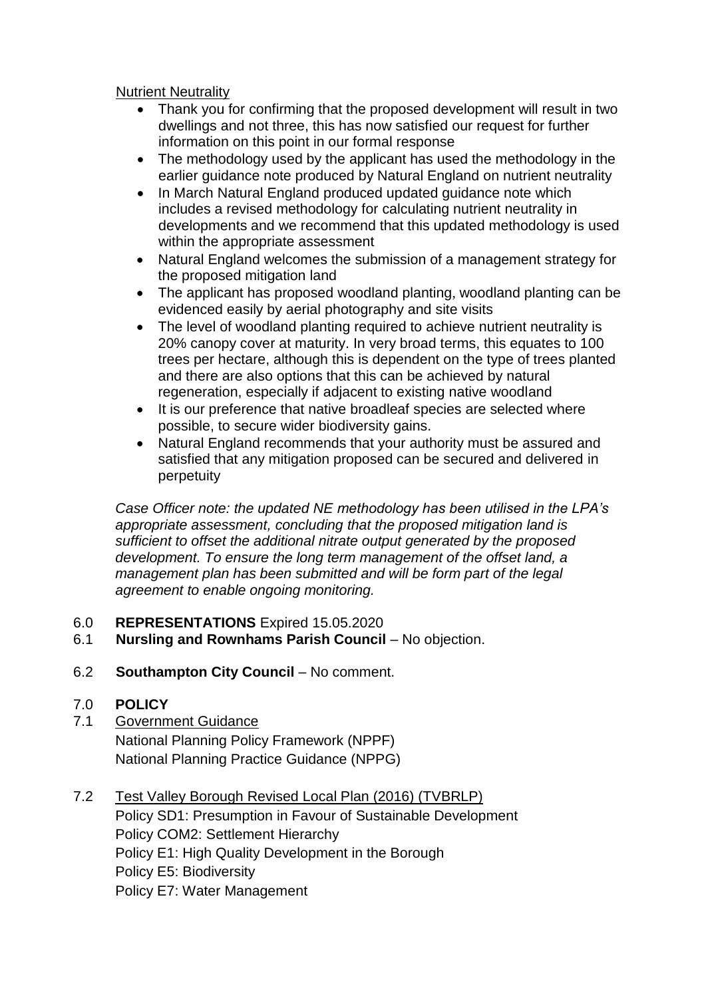Nutrient Neutrality

- Thank you for confirming that the proposed development will result in two dwellings and not three, this has now satisfied our request for further information on this point in our formal response
- The methodology used by the applicant has used the methodology in the earlier guidance note produced by Natural England on nutrient neutrality
- In March Natural England produced updated guidance note which includes a revised methodology for calculating nutrient neutrality in developments and we recommend that this updated methodology is used within the appropriate assessment
- Natural England welcomes the submission of a management strategy for the proposed mitigation land
- The applicant has proposed woodland planting, woodland planting can be evidenced easily by aerial photography and site visits
- The level of woodland planting required to achieve nutrient neutrality is 20% canopy cover at maturity. In very broad terms, this equates to 100 trees per hectare, although this is dependent on the type of trees planted and there are also options that this can be achieved by natural regeneration, especially if adjacent to existing native woodland
- It is our preference that native broadleaf species are selected where possible, to secure wider biodiversity gains.
- Natural England recommends that your authority must be assured and satisfied that any mitigation proposed can be secured and delivered in perpetuity

*Case Officer note: the updated NE methodology has been utilised in the LPA's appropriate assessment, concluding that the proposed mitigation land is sufficient to offset the additional nitrate output generated by the proposed development. To ensure the long term management of the offset land, a management plan has been submitted and will be form part of the legal agreement to enable ongoing monitoring.*

- 6.0 **REPRESENTATIONS** Expired 15.05.2020
- 6.1 **Nursling and Rownhams Parish Council** No objection.
- 6.2 **Southampton City Council No comment.**

# 7.0 **POLICY**

- 7.1 Government Guidance National Planning Policy Framework (NPPF) National Planning Practice Guidance (NPPG)
- 7.2 Test Valley Borough Revised Local Plan (2016) (TVBRLP) Policy SD1: Presumption in Favour of Sustainable Development

Policy COM2: Settlement Hierarchy

Policy E1: High Quality Development in the Borough

Policy E5: Biodiversity

Policy E7: Water Management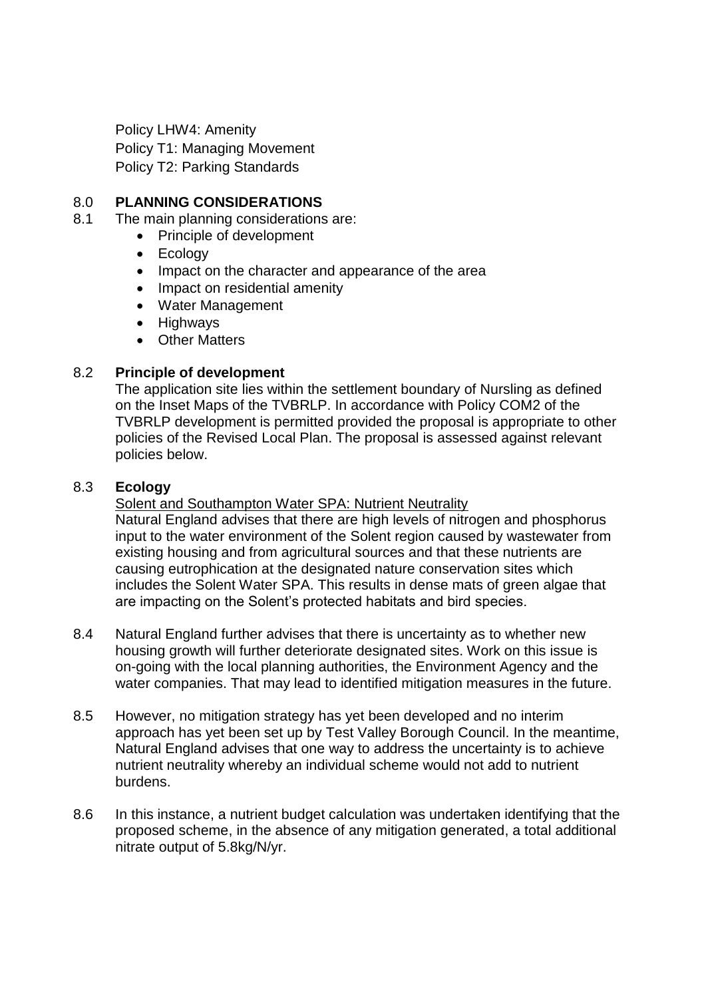Policy LHW4: Amenity Policy T1: Managing Movement Policy T2: Parking Standards

## 8.0 **PLANNING CONSIDERATIONS**

- 8.1 The main planning considerations are:
	- Principle of development
	- Ecology
	- Impact on the character and appearance of the area
	- Impact on residential amenity
	- Water Management
	- Highways
	- Other Matters

### 8.2 **Principle of development**

The application site lies within the settlement boundary of Nursling as defined on the Inset Maps of the TVBRLP. In accordance with Policy COM2 of the TVBRLP development is permitted provided the proposal is appropriate to other policies of the Revised Local Plan. The proposal is assessed against relevant policies below.

### 8.3 **Ecology**

Solent and Southampton Water SPA: Nutrient Neutrality Natural England advises that there are high levels of nitrogen and phosphorus input to the water environment of the Solent region caused by wastewater from existing housing and from agricultural sources and that these nutrients are causing eutrophication at the designated nature conservation sites which includes the Solent Water SPA. This results in dense mats of green algae that are impacting on the Solent's protected habitats and bird species.

- 8.4 Natural England further advises that there is uncertainty as to whether new housing growth will further deteriorate designated sites. Work on this issue is on-going with the local planning authorities, the Environment Agency and the water companies. That may lead to identified mitigation measures in the future.
- 8.5 However, no mitigation strategy has yet been developed and no interim approach has yet been set up by Test Valley Borough Council. In the meantime, Natural England advises that one way to address the uncertainty is to achieve nutrient neutrality whereby an individual scheme would not add to nutrient burdens.
- 8.6 In this instance, a nutrient budget calculation was undertaken identifying that the proposed scheme, in the absence of any mitigation generated, a total additional nitrate output of 5.8kg/N/yr.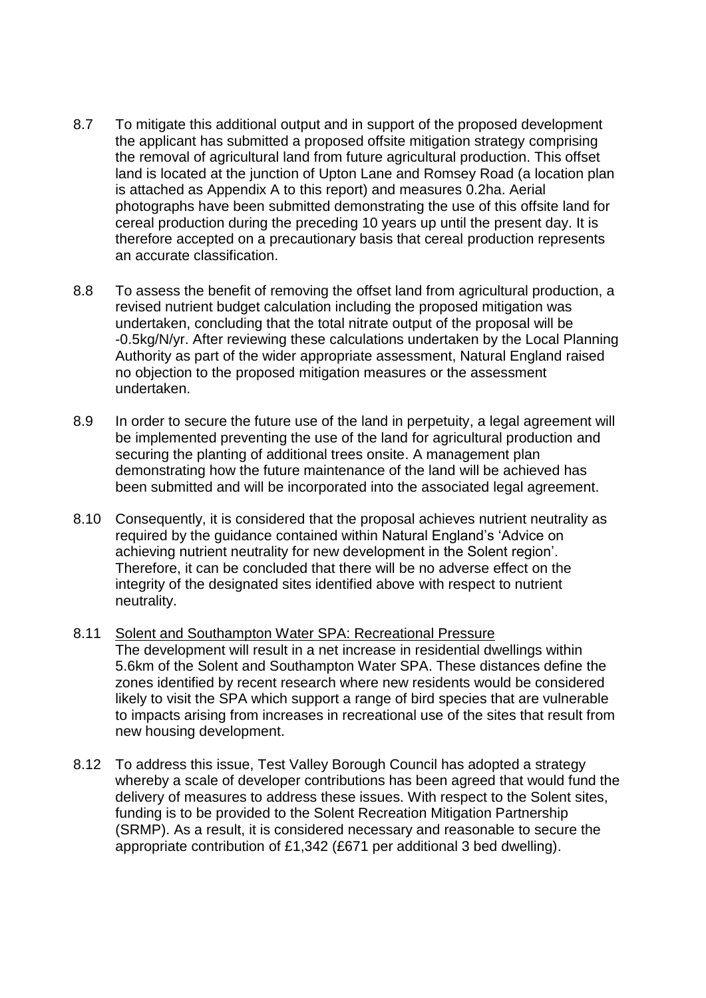- 8.7 To mitigate this additional output and in support of the proposed development the applicant has submitted a proposed offsite mitigation strategy comprising the removal of agricultural land from future agricultural production. This offset land is located at the junction of Upton Lane and Romsey Road (a location plan is attached as Appendix A to this report) and measures 0.2ha. Aerial photographs have been submitted demonstrating the use of this offsite land for cereal production during the preceding 10 years up until the present day. It is therefore accepted on a precautionary basis that cereal production represents an accurate classification.
- 8.8 To assess the benefit of removing the offset land from agricultural production, a revised nutrient budget calculation including the proposed mitigation was undertaken, concluding that the total nitrate output of the proposal will be -0.5kg/N/yr. After reviewing these calculations undertaken by the Local Planning Authority as part of the wider appropriate assessment, Natural England raised no objection to the proposed mitigation measures or the assessment undertaken.
- 8.9 In order to secure the future use of the land in perpetuity, a legal agreement will be implemented preventing the use of the land for agricultural production and securing the planting of additional trees onsite. A management plan demonstrating how the future maintenance of the land will be achieved has been submitted and will be incorporated into the associated legal agreement.
- 8.10 Consequently, it is considered that the proposal achieves nutrient neutrality as required by the guidance contained within Natural England's 'Advice on achieving nutrient neutrality for new development in the Solent region'. Therefore, it can be concluded that there will be no adverse effect on the integrity of the designated sites identified above with respect to nutrient neutrality.
- 8.11 Solent and Southampton Water SPA: Recreational Pressure The development will result in a net increase in residential dwellings within 5.6km of the Solent and Southampton Water SPA. These distances define the zones identified by recent research where new residents would be considered likely to visit the SPA which support a range of bird species that are vulnerable to impacts arising from increases in recreational use of the sites that result from new housing development.
- 8.12 To address this issue, Test Valley Borough Council has adopted a strategy whereby a scale of developer contributions has been agreed that would fund the delivery of measures to address these issues. With respect to the Solent sites, funding is to be provided to the Solent Recreation Mitigation Partnership (SRMP). As a result, it is considered necessary and reasonable to secure the appropriate contribution of £1,342 (£671 per additional 3 bed dwelling).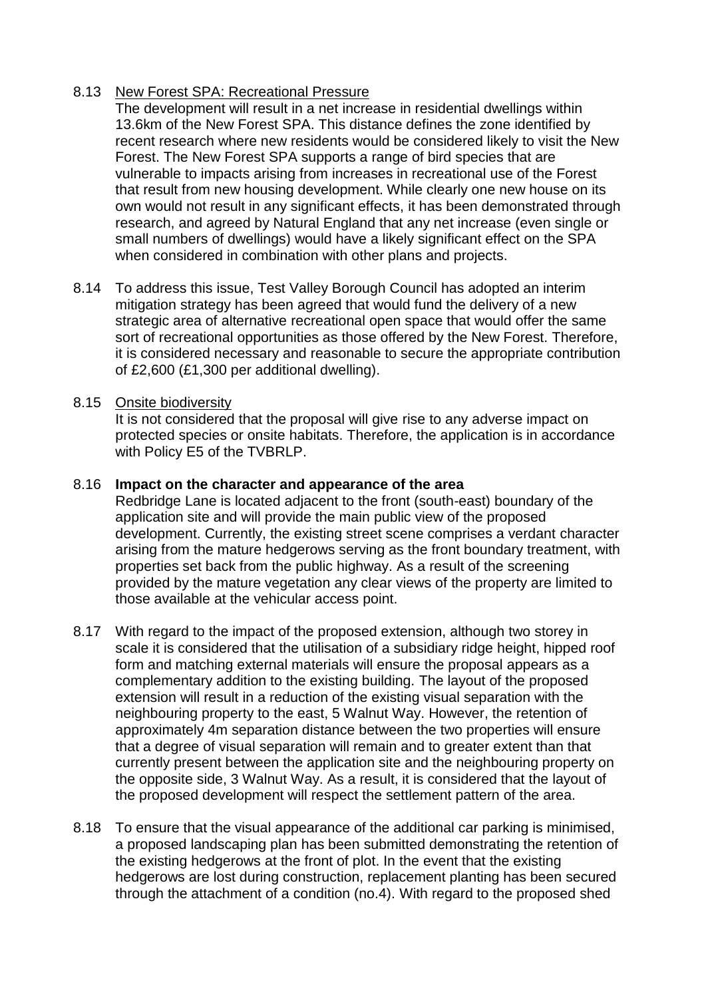## 8.13 New Forest SPA: Recreational Pressure

The development will result in a net increase in residential dwellings within 13.6km of the New Forest SPA. This distance defines the zone identified by recent research where new residents would be considered likely to visit the New Forest. The New Forest SPA supports a range of bird species that are vulnerable to impacts arising from increases in recreational use of the Forest that result from new housing development. While clearly one new house on its own would not result in any significant effects, it has been demonstrated through research, and agreed by Natural England that any net increase (even single or small numbers of dwellings) would have a likely significant effect on the SPA when considered in combination with other plans and projects.

8.14 To address this issue, Test Valley Borough Council has adopted an interim mitigation strategy has been agreed that would fund the delivery of a new strategic area of alternative recreational open space that would offer the same sort of recreational opportunities as those offered by the New Forest. Therefore, it is considered necessary and reasonable to secure the appropriate contribution of £2,600 (£1,300 per additional dwelling).

### 8.15 Onsite biodiversity

It is not considered that the proposal will give rise to any adverse impact on protected species or onsite habitats. Therefore, the application is in accordance with Policy E5 of the TVBRLP.

### 8.16 **Impact on the character and appearance of the area**

Redbridge Lane is located adjacent to the front (south-east) boundary of the application site and will provide the main public view of the proposed development. Currently, the existing street scene comprises a verdant character arising from the mature hedgerows serving as the front boundary treatment, with properties set back from the public highway. As a result of the screening provided by the mature vegetation any clear views of the property are limited to those available at the vehicular access point.

- 8.17 With regard to the impact of the proposed extension, although two storey in scale it is considered that the utilisation of a subsidiary ridge height, hipped roof form and matching external materials will ensure the proposal appears as a complementary addition to the existing building. The layout of the proposed extension will result in a reduction of the existing visual separation with the neighbouring property to the east, 5 Walnut Way. However, the retention of approximately 4m separation distance between the two properties will ensure that a degree of visual separation will remain and to greater extent than that currently present between the application site and the neighbouring property on the opposite side, 3 Walnut Way. As a result, it is considered that the layout of the proposed development will respect the settlement pattern of the area.
- 8.18 To ensure that the visual appearance of the additional car parking is minimised, a proposed landscaping plan has been submitted demonstrating the retention of the existing hedgerows at the front of plot. In the event that the existing hedgerows are lost during construction, replacement planting has been secured through the attachment of a condition (no.4). With regard to the proposed shed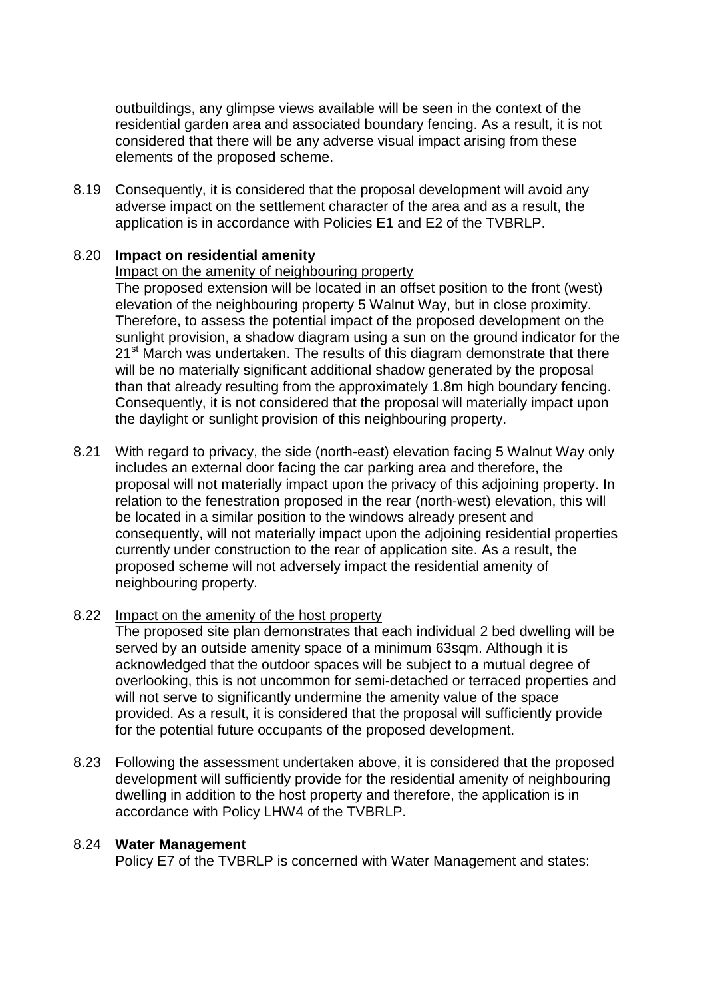outbuildings, any glimpse views available will be seen in the context of the residential garden area and associated boundary fencing. As a result, it is not considered that there will be any adverse visual impact arising from these elements of the proposed scheme.

8.19 Consequently, it is considered that the proposal development will avoid any adverse impact on the settlement character of the area and as a result, the application is in accordance with Policies E1 and E2 of the TVBRLP.

### 8.20 **Impact on residential amenity**

### Impact on the amenity of neighbouring property

The proposed extension will be located in an offset position to the front (west) elevation of the neighbouring property 5 Walnut Way, but in close proximity. Therefore, to assess the potential impact of the proposed development on the sunlight provision, a shadow diagram using a sun on the ground indicator for the 21<sup>st</sup> March was undertaken. The results of this diagram demonstrate that there will be no materially significant additional shadow generated by the proposal than that already resulting from the approximately 1.8m high boundary fencing. Consequently, it is not considered that the proposal will materially impact upon the daylight or sunlight provision of this neighbouring property.

8.21 With regard to privacy, the side (north-east) elevation facing 5 Walnut Way only includes an external door facing the car parking area and therefore, the proposal will not materially impact upon the privacy of this adjoining property. In relation to the fenestration proposed in the rear (north-west) elevation, this will be located in a similar position to the windows already present and consequently, will not materially impact upon the adjoining residential properties currently under construction to the rear of application site. As a result, the proposed scheme will not adversely impact the residential amenity of neighbouring property.

#### 8.22 Impact on the amenity of the host property

The proposed site plan demonstrates that each individual 2 bed dwelling will be served by an outside amenity space of a minimum 63sqm. Although it is acknowledged that the outdoor spaces will be subject to a mutual degree of overlooking, this is not uncommon for semi-detached or terraced properties and will not serve to significantly undermine the amenity value of the space provided. As a result, it is considered that the proposal will sufficiently provide for the potential future occupants of the proposed development.

8.23 Following the assessment undertaken above, it is considered that the proposed development will sufficiently provide for the residential amenity of neighbouring dwelling in addition to the host property and therefore, the application is in accordance with Policy LHW4 of the TVBRLP.

#### 8.24 **Water Management**

Policy E7 of the TVBRLP is concerned with Water Management and states: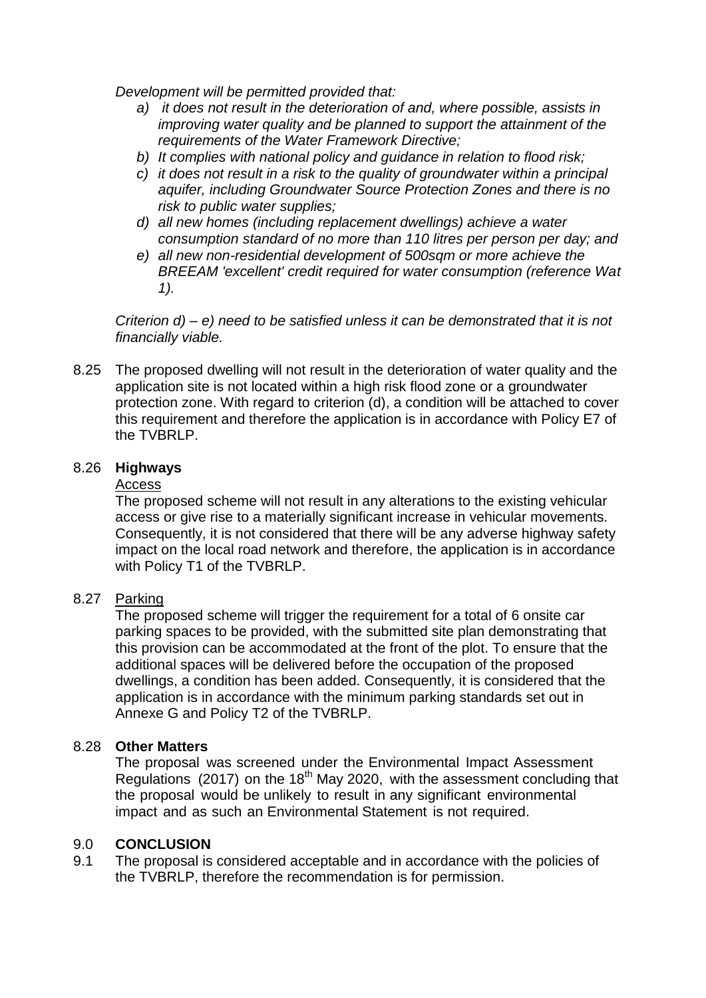*Development will be permitted provided that:*

- *a) it does not result in the deterioration of and, where possible, assists in improving water quality and be planned to support the attainment of the requirements of the Water Framework Directive;*
- *b) It complies with national policy and guidance in relation to flood risk;*
- *c) it does not result in a risk to the quality of groundwater within a principal aquifer, including Groundwater Source Protection Zones and there is no risk to public water supplies;*
- *d) all new homes (including replacement dwellings) achieve a water consumption standard of no more than 110 litres per person per day; and*
- *e) all new non-residential development of 500sqm or more achieve the BREEAM 'excellent' credit required for water consumption (reference Wat 1).*

*Criterion d) – e) need to be satisfied unless it can be demonstrated that it is not financially viable.*

8.25 The proposed dwelling will not result in the deterioration of water quality and the application site is not located within a high risk flood zone or a groundwater protection zone. With regard to criterion (d), a condition will be attached to cover this requirement and therefore the application is in accordance with Policy E7 of the TVBRLP.

## 8.26 **Highways**

## **Access**

The proposed scheme will not result in any alterations to the existing vehicular access or give rise to a materially significant increase in vehicular movements. Consequently, it is not considered that there will be any adverse highway safety impact on the local road network and therefore, the application is in accordance with Policy T1 of the TVBRLP.

#### 8.27 Parking

The proposed scheme will trigger the requirement for a total of 6 onsite car parking spaces to be provided, with the submitted site plan demonstrating that this provision can be accommodated at the front of the plot. To ensure that the additional spaces will be delivered before the occupation of the proposed dwellings, a condition has been added. Consequently, it is considered that the application is in accordance with the minimum parking standards set out in Annexe G and Policy T2 of the TVBRLP.

#### 8.28 **Other Matters**

The proposal was screened under the Environmental Impact Assessment Regulations (2017) on the 18<sup>th</sup> May 2020, with the assessment concluding that the proposal would be unlikely to result in any significant environmental impact and as such an Environmental Statement is not required.

#### 9.0 **CONCLUSION**

9.1 The proposal is considered acceptable and in accordance with the policies of the TVBRLP, therefore the recommendation is for permission.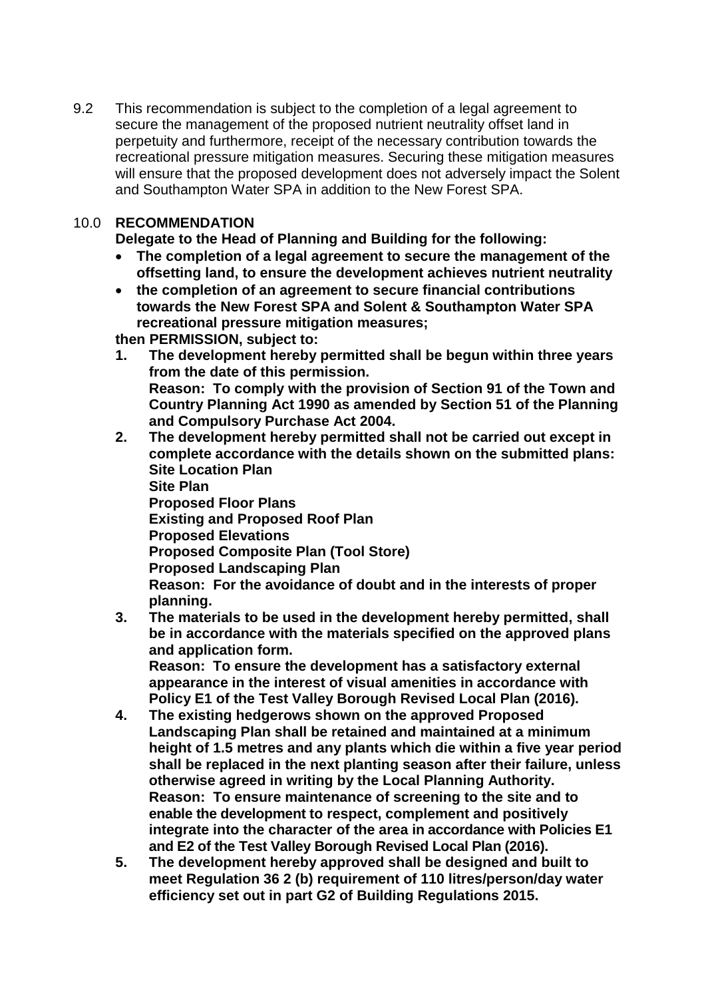9.2 This recommendation is subject to the completion of a legal agreement to secure the management of the proposed nutrient neutrality offset land in perpetuity and furthermore, receipt of the necessary contribution towards the recreational pressure mitigation measures. Securing these mitigation measures will ensure that the proposed development does not adversely impact the Solent and Southampton Water SPA in addition to the New Forest SPA.

# 10.0 **RECOMMENDATION**

**Delegate to the Head of Planning and Building for the following:**

- **The completion of a legal agreement to secure the management of the offsetting land, to ensure the development achieves nutrient neutrality**
- **the completion of an agreement to secure financial contributions towards the New Forest SPA and Solent & Southampton Water SPA recreational pressure mitigation measures;**

**then PERMISSION, subject to:**

- **1. The development hereby permitted shall be begun within three years from the date of this permission. Reason: To comply with the provision of Section 91 of the Town and Country Planning Act 1990 as amended by Section 51 of the Planning and Compulsory Purchase Act 2004.**
- **2. The development hereby permitted shall not be carried out except in complete accordance with the details shown on the submitted plans: Site Location Plan Site Plan Proposed Floor Plans Existing and Proposed Roof Plan Proposed Elevations Proposed Composite Plan (Tool Store) Proposed Landscaping Plan Reason: For the avoidance of doubt and in the interests of proper planning.**
- **3. The materials to be used in the development hereby permitted, shall be in accordance with the materials specified on the approved plans and application form. Reason: To ensure the development has a satisfactory external**

**appearance in the interest of visual amenities in accordance with Policy E1 of the Test Valley Borough Revised Local Plan (2016).**

- **4. The existing hedgerows shown on the approved Proposed Landscaping Plan shall be retained and maintained at a minimum height of 1.5 metres and any plants which die within a five year period shall be replaced in the next planting season after their failure, unless otherwise agreed in writing by the Local Planning Authority. Reason: To ensure maintenance of screening to the site and to enable the development to respect, complement and positively integrate into the character of the area in accordance with Policies E1 and E2 of the Test Valley Borough Revised Local Plan (2016).**
- **5. The development hereby approved shall be designed and built to meet Regulation 36 2 (b) requirement of 110 litres/person/day water efficiency set out in part G2 of Building Regulations 2015.**